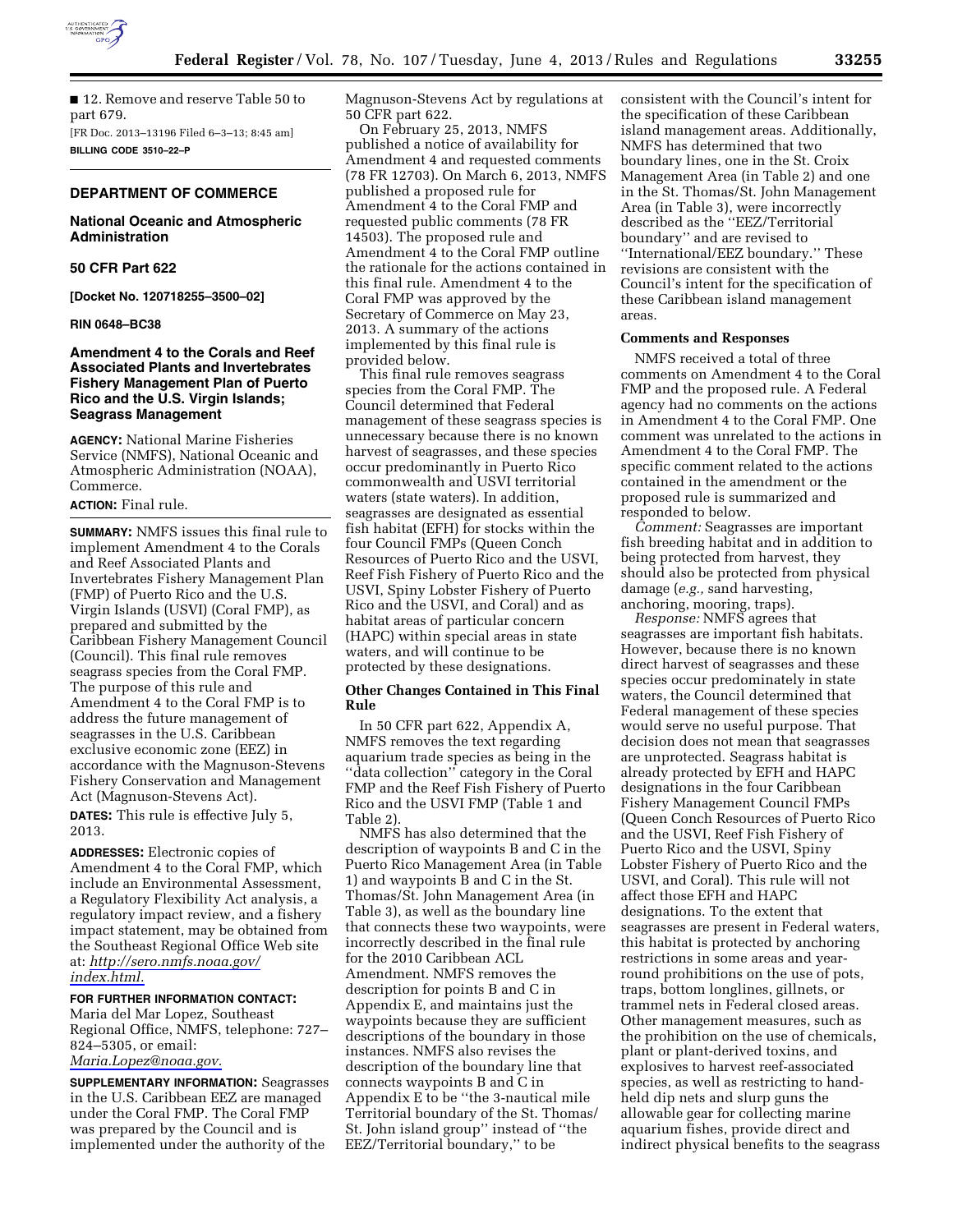

■ 12. Remove and reserve Table 50 to part 679. [FR Doc. 2013–13196 Filed 6–3–13; 8:45 am]

**BILLING CODE 3510–22–P** 

# **DEPARTMENT OF COMMERCE**

### **National Oceanic and Atmospheric Administration**

# **50 CFR Part 622**

**[Docket No. 120718255–3500–02]** 

#### **RIN 0648–BC38**

# **Amendment 4 to the Corals and Reef Associated Plants and Invertebrates Fishery Management Plan of Puerto Rico and the U.S. Virgin Islands; Seagrass Management**

**AGENCY:** National Marine Fisheries Service (NMFS), National Oceanic and Atmospheric Administration (NOAA), Commerce.

### **ACTION:** Final rule.

**SUMMARY:** NMFS issues this final rule to implement Amendment 4 to the Corals and Reef Associated Plants and Invertebrates Fishery Management Plan (FMP) of Puerto Rico and the U.S. Virgin Islands (USVI) (Coral FMP), as prepared and submitted by the Caribbean Fishery Management Council (Council). This final rule removes seagrass species from the Coral FMP. The purpose of this rule and Amendment 4 to the Coral FMP is to address the future management of seagrasses in the U.S. Caribbean exclusive economic zone (EEZ) in accordance with the Magnuson-Stevens Fishery Conservation and Management Act (Magnuson-Stevens Act).

**DATES:** This rule is effective July 5, 2013.

**ADDRESSES:** Electronic copies of Amendment 4 to the Coral FMP, which include an Environmental Assessment, a Regulatory Flexibility Act analysis, a regulatory impact review, and a fishery impact statement, may be obtained from the Southeast Regional Office Web site at: *[http://sero.nmfs.noaa.gov/](http://sero.nmfs.noaa.gov/index.html) [index.html.](http://sero.nmfs.noaa.gov/index.html)* 

# **FOR FURTHER INFORMATION CONTACT:**

Maria del Mar Lopez, Southeast Regional Office, NMFS, telephone: 727– 824–5305, or email: *[Maria.Lopez@noaa.gov.](mailto:Maria.Lopez@noaa.gov)* 

**SUPPLEMENTARY INFORMATION:** Seagrasses in the U.S. Caribbean EEZ are managed under the Coral FMP. The Coral FMP was prepared by the Council and is implemented under the authority of the

Magnuson-Stevens Act by regulations at 50 CFR part 622.

On February 25, 2013, NMFS published a notice of availability for Amendment 4 and requested comments (78 FR 12703). On March 6, 2013, NMFS published a proposed rule for Amendment 4 to the Coral FMP and requested public comments (78 FR 14503). The proposed rule and Amendment 4 to the Coral FMP outline the rationale for the actions contained in this final rule. Amendment 4 to the Coral FMP was approved by the Secretary of Commerce on May 23, 2013. A summary of the actions implemented by this final rule is provided below.

This final rule removes seagrass species from the Coral FMP. The Council determined that Federal management of these seagrass species is unnecessary because there is no known harvest of seagrasses, and these species occur predominantly in Puerto Rico commonwealth and USVI territorial waters (state waters). In addition, seagrasses are designated as essential fish habitat (EFH) for stocks within the four Council FMPs (Queen Conch Resources of Puerto Rico and the USVI, Reef Fish Fishery of Puerto Rico and the USVI, Spiny Lobster Fishery of Puerto Rico and the USVI, and Coral) and as habitat areas of particular concern (HAPC) within special areas in state waters, and will continue to be protected by these designations.

### **Other Changes Contained in This Final Rule**

In 50 CFR part 622, Appendix A, NMFS removes the text regarding aquarium trade species as being in the ''data collection'' category in the Coral FMP and the Reef Fish Fishery of Puerto Rico and the USVI FMP (Table 1 and Table 2).

NMFS has also determined that the description of waypoints B and C in the Puerto Rico Management Area (in Table 1) and waypoints B and C in the St. Thomas/St. John Management Area (in Table 3), as well as the boundary line that connects these two waypoints, were incorrectly described in the final rule for the 2010 Caribbean ACL Amendment. NMFS removes the description for points B and C in Appendix E, and maintains just the waypoints because they are sufficient descriptions of the boundary in those instances. NMFS also revises the description of the boundary line that connects waypoints B and C in Appendix E to be ''the 3-nautical mile Territorial boundary of the St. Thomas/ St. John island group'' instead of ''the EEZ/Territorial boundary,'' to be

consistent with the Council's intent for the specification of these Caribbean island management areas. Additionally, NMFS has determined that two boundary lines, one in the St. Croix Management Area (in Table 2) and one in the St. Thomas/St. John Management Area (in Table 3), were incorrectly described as the ''EEZ/Territorial boundary'' and are revised to ''International/EEZ boundary.'' These revisions are consistent with the Council's intent for the specification of these Caribbean island management areas.

#### **Comments and Responses**

NMFS received a total of three comments on Amendment 4 to the Coral FMP and the proposed rule. A Federal agency had no comments on the actions in Amendment 4 to the Coral FMP. One comment was unrelated to the actions in Amendment 4 to the Coral FMP. The specific comment related to the actions contained in the amendment or the proposed rule is summarized and responded to below.

*Comment:* Seagrasses are important fish breeding habitat and in addition to being protected from harvest, they should also be protected from physical damage (*e.g.,* sand harvesting, anchoring, mooring, traps).

*Response:* NMFS agrees that seagrasses are important fish habitats. However, because there is no known direct harvest of seagrasses and these species occur predominately in state waters, the Council determined that Federal management of these species would serve no useful purpose. That decision does not mean that seagrasses are unprotected. Seagrass habitat is already protected by EFH and HAPC designations in the four Caribbean Fishery Management Council FMPs (Queen Conch Resources of Puerto Rico and the USVI, Reef Fish Fishery of Puerto Rico and the USVI, Spiny Lobster Fishery of Puerto Rico and the USVI, and Coral). This rule will not affect those EFH and HAPC designations. To the extent that seagrasses are present in Federal waters, this habitat is protected by anchoring restrictions in some areas and yearround prohibitions on the use of pots, traps, bottom longlines, gillnets, or trammel nets in Federal closed areas. Other management measures, such as the prohibition on the use of chemicals, plant or plant-derived toxins, and explosives to harvest reef-associated species, as well as restricting to handheld dip nets and slurp guns the allowable gear for collecting marine aquarium fishes, provide direct and indirect physical benefits to the seagrass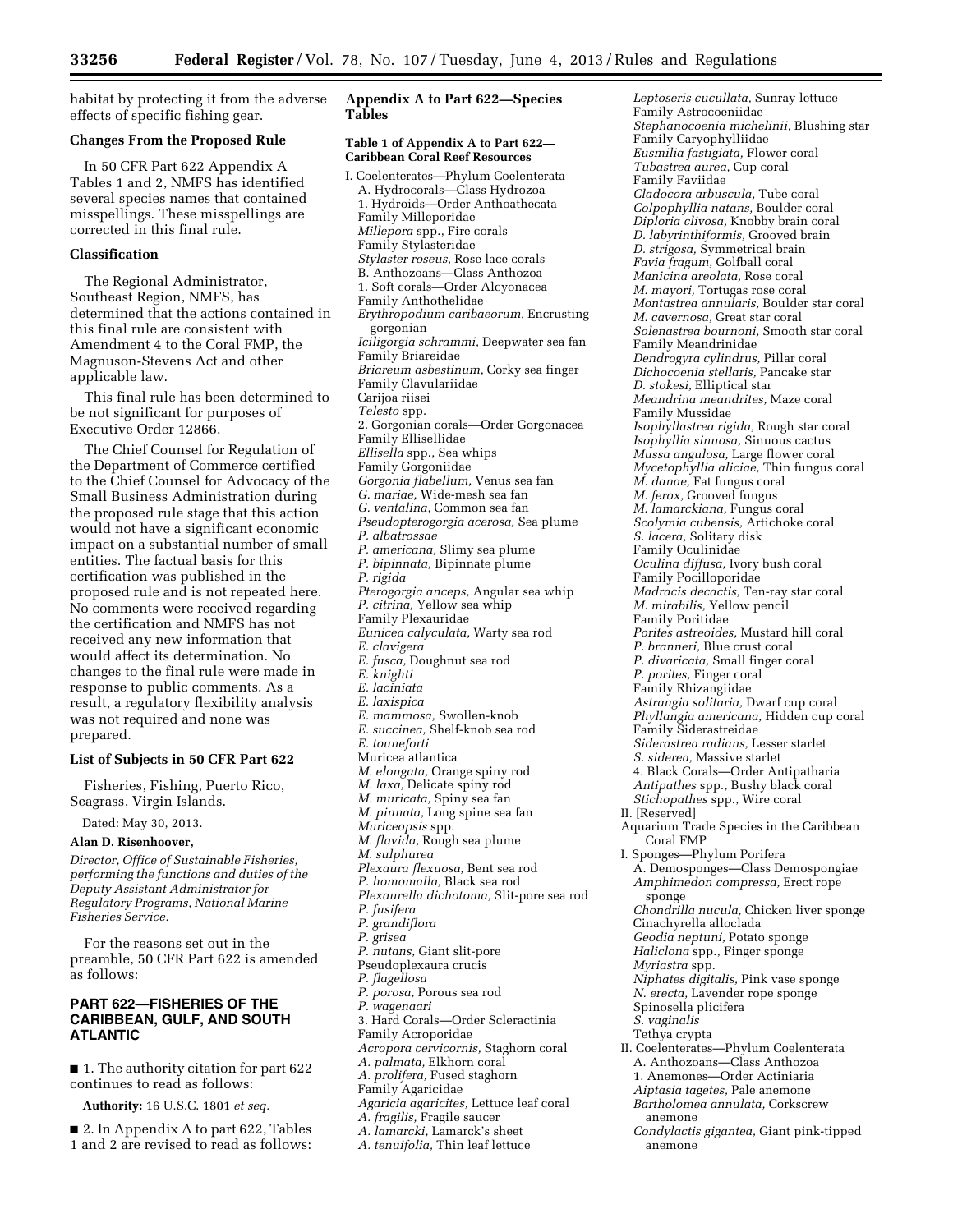habitat by protecting it from the adverse effects of specific fishing gear.

#### **Changes From the Proposed Rule**

In 50 CFR Part 622 Appendix A Tables 1 and 2, NMFS has identified several species names that contained misspellings. These misspellings are corrected in this final rule.

# **Classification**

The Regional Administrator, Southeast Region, NMFS, has determined that the actions contained in this final rule are consistent with Amendment 4 to the Coral FMP, the Magnuson-Stevens Act and other applicable law.

This final rule has been determined to be not significant for purposes of Executive Order 12866.

The Chief Counsel for Regulation of the Department of Commerce certified to the Chief Counsel for Advocacy of the Small Business Administration during the proposed rule stage that this action would not have a significant economic impact on a substantial number of small entities. The factual basis for this certification was published in the proposed rule and is not repeated here. No comments were received regarding the certification and NMFS has not received any new information that would affect its determination. No changes to the final rule were made in response to public comments. As a result, a regulatory flexibility analysis was not required and none was prepared.

### **List of Subjects in 50 CFR Part 622**

Fisheries, Fishing, Puerto Rico, Seagrass, Virgin Islands.

Dated: May 30, 2013.

#### **Alan D. Risenhoover,**

*Director, Office of Sustainable Fisheries, performing the functions and duties of the Deputy Assistant Administrator for Regulatory Programs, National Marine Fisheries Service.* 

For the reasons set out in the preamble, 50 CFR Part 622 is amended as follows:

# **PART 622—FISHERIES OF THE CARIBBEAN, GULF, AND SOUTH ATLANTIC**

■ 1. The authority citation for part 622 continues to read as follows:

**Authority:** 16 U.S.C. 1801 *et seq.* 

■ 2. In Appendix A to part 622, Tables 1 and 2 are revised to read as follows:

# **Appendix A to Part 622—Species Tables**

#### **Table 1 of Appendix A to Part 622— Caribbean Coral Reef Resources**

I. Coelenterates—Phylum Coelenterata A. Hydrocorals—Class Hydrozoa 1. Hydroids—Order Anthoathecata Family Milleporidae *Millepora* spp., Fire corals Family Stylasteridae *Stylaster roseus,* Rose lace corals B. Anthozoans—Class Anthozoa 1. Soft corals—Order Alcyonacea Family Anthothelidae *Erythropodium caribaeorum,* Encrusting gorgonian *Iciligorgia schrammi,* Deepwater sea fan Family Briareidae *Briareum asbestinum,* Corky sea finger Family Clavulariidae Carijoa riisei *Telesto* spp. 2. Gorgonian corals—Order Gorgonacea Family Ellisellidae *Ellisella* spp., Sea whips Family Gorgoniidae *Gorgonia flabellum,* Venus sea fan *G. mariae,* Wide-mesh sea fan *G. ventalina,* Common sea fan *Pseudopterogorgia acerosa,* Sea plume *P. albatrossae P. americana,* Slimy sea plume *P. bipinnata,* Bipinnate plume *P. rigida Pterogorgia anceps,* Angular sea whip *P. citrina,* Yellow sea whip Family Plexauridae *Eunicea calyculata,* Warty sea rod *E. clavigera E. fusca,* Doughnut sea rod *E. knighti E. laciniata E. laxispica E. mammosa,* Swollen-knob *E. succinea,* Shelf-knob sea rod *E. touneforti*  Muricea atlantica *M. elongata,* Orange spiny rod *M. laxa,* Delicate spiny rod *M. muricata,* Spiny sea fan *M. pinnata,* Long spine sea fan *Muriceopsis* spp. *M. flavida,* Rough sea plume *M. sulphurea Plexaura flexuosa,* Bent sea rod *P. homomalla,* Black sea rod *Plexaurella dichotoma,* Slit-pore sea rod *P. fusifera P. grandiflora P. grisea P. nutans,* Giant slit-pore Pseudoplexaura crucis *P. flagellosa P. porosa,* Porous sea rod *P. wagenaari*  3. Hard Corals—Order Scleractinia Family Acroporidae *Acropora cervicornis,* Staghorn coral *A. palmata,* Elkhorn coral *A. prolifera,* Fused staghorn Family Agaricidae *Agaricia agaricites,* Lettuce leaf coral *A. fragilis,* Fragile saucer *A. lamarcki,* Lamarck's sheet *A. tenuifolia,* Thin leaf lettuce

*Leptoseris cucullata,* Sunray lettuce Family Astrocoeniidae *Stephanocoenia michelinii,* Blushing star Family Caryophylliidae *Eusmilia fastigiata,* Flower coral *Tubastrea aurea,* Cup coral Family Faviidae *Cladocora arbuscula,* Tube coral *Colpophyllia natans,* Boulder coral *Diploria clivosa,* Knobby brain coral *D. labyrinthiformis,* Grooved brain *D. strigosa,* Symmetrical brain *Favia fragum,* Golfball coral *Manicina areolata,* Rose coral *M. mayori,* Tortugas rose coral *Montastrea annularis,* Boulder star coral *M. cavernosa,* Great star coral *Solenastrea bournoni,* Smooth star coral Family Meandrinidae *Dendrogyra cylindrus,* Pillar coral *Dichocoenia stellaris,* Pancake star *D. stokesi,* Elliptical star *Meandrina meandrites,* Maze coral Family Mussidae *Isophyllastrea rigida,* Rough star coral *Isophyllia sinuosa,* Sinuous cactus *Mussa angulosa,* Large flower coral *Mycetophyllia aliciae,* Thin fungus coral *M. danae,* Fat fungus coral *M. ferox,* Grooved fungus *M. lamarckiana,* Fungus coral *Scolymia cubensis,* Artichoke coral *S. lacera,* Solitary disk Family Oculinidae *Oculina diffusa,* Ivory bush coral Family Pocilloporidae *Madracis decactis,* Ten-ray star coral *M. mirabilis,* Yellow pencil Family Poritidae *Porites astreoides,* Mustard hill coral *P. branneri,* Blue crust coral *P. divaricata,* Small finger coral *P. porites,* Finger coral Family Rhizangiidae *Astrangia solitaria,* Dwarf cup coral *Phyllangia americana,* Hidden cup coral Family Siderastreidae *Siderastrea radians,* Lesser starlet *S. siderea,* Massive starlet 4. Black Corals—Order Antipatharia *Antipathes* spp., Bushy black coral *Stichopathes* spp., Wire coral II. [Reserved] Aquarium Trade Species in the Caribbean Coral FMP I. Sponges—Phylum Porifera A. Demosponges—Class Demospongiae *Amphimedon compressa,* Erect rope sponge *Chondrilla nucula,* Chicken liver sponge Cinachyrella alloclada *Geodia neptuni,* Potato sponge *Haliclona* spp., Finger sponge *Myriastra* spp. *Niphates digitalis,* Pink vase sponge *N. erecta,* Lavender rope sponge Spinosella plicifera *S. vaginalis*  Tethya crypta II. Coelenterates—Phylum Coelenterata A. Anthozoans—Class Anthozoa 1. Anemones—Order Actiniaria *Aiptasia tagetes,* Pale anemone *Bartholomea annulata,* Corkscrew anemone *Condylactis gigantea,* Giant pink-tipped anemone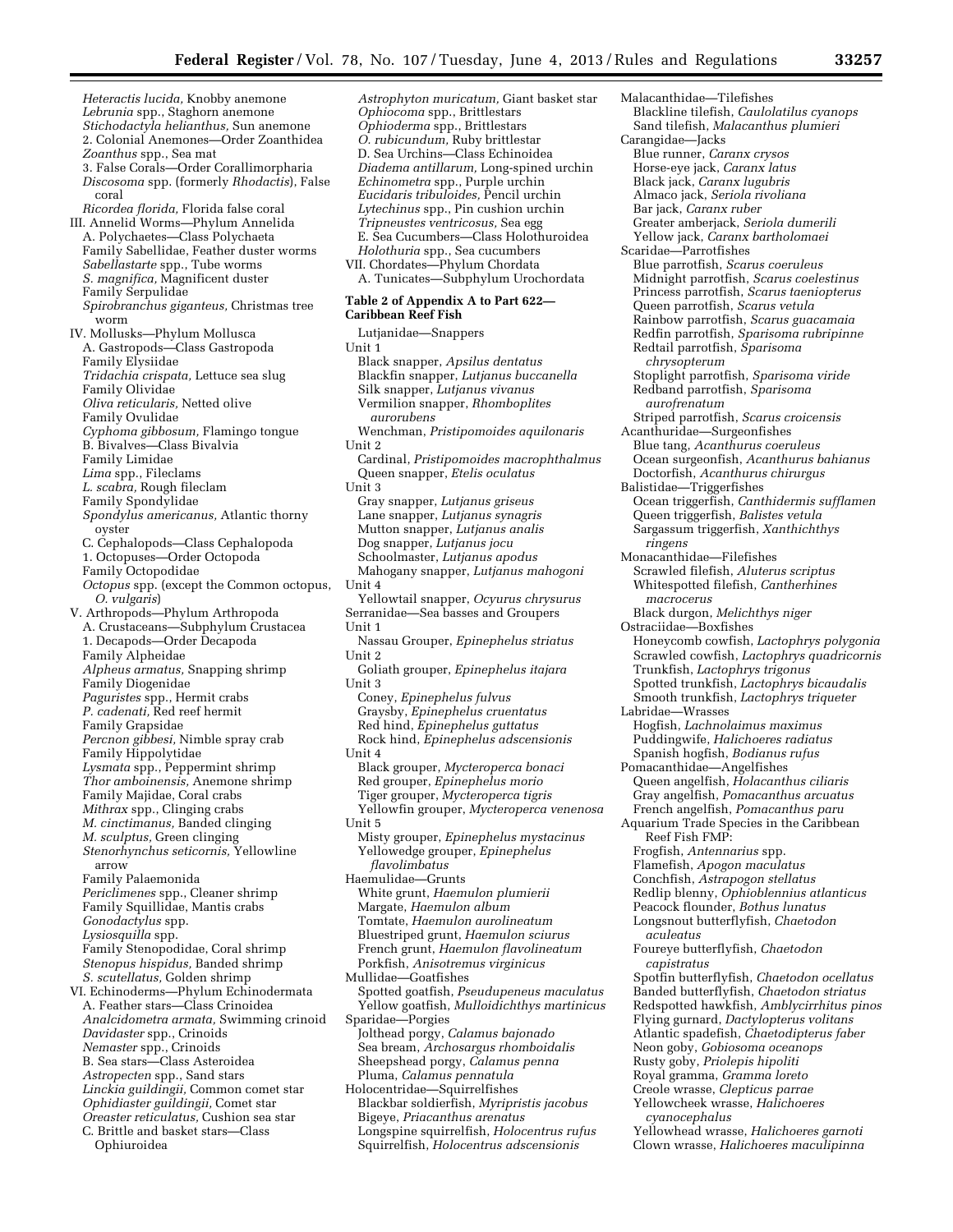*Astrophyton muricatum,* Giant basket star

*Heteractis lucida,* Knobby anemone *Lebrunia* spp., Staghorn anemone *Stichodactyla helianthus,* Sun anemone 2. Colonial Anemones—Order Zoanthidea *Zoanthus* spp., Sea mat 3. False Corals—Order Corallimorpharia *Discosoma* spp. (formerly *Rhodactis*), False coral *Ricordea florida,* Florida false coral III. Annelid Worms—Phylum Annelida A. Polychaetes—Class Polychaeta Family Sabellidae, Feather duster worms *Sabellastarte* spp., Tube worms *S. magnifica,* Magnificent duster Family Serpulidae *Spirobranchus giganteus,* Christmas tree worm IV. Mollusks—Phylum Mollusca A. Gastropods—Class Gastropoda Family Elysiidae *Tridachia crispata,* Lettuce sea slug Family Olividae *Oliva reticularis,* Netted olive Family Ovulidae *Cyphoma gibbosum,* Flamingo tongue B. Bivalves—Class Bivalvia Family Limidae *Lima* spp., Fileclams *L. scabra,* Rough fileclam Family Spondylidae *Spondylus americanus,* Atlantic thorny oyster C. Cephalopods—Class Cephalopoda 1. Octopuses—Order Octopoda Family Octopodidae *Octopus* spp. (except the Common octopus, *O. vulgaris*) V. Arthropods—Phylum Arthropoda A. Crustaceans—Subphylum Crustacea 1. Decapods—Order Decapoda Family Alpheidae *Alpheus armatus,* Snapping shrimp Family Diogenidae *Paguristes* spp., Hermit crabs *P. cadenati,* Red reef hermit Family Grapsidae *Percnon gibbesi,* Nimble spray crab Family Hippolytidae *Lysmata* spp., Peppermint shrimp *Thor amboinensis,* Anemone shrimp Family Majidae, Coral crabs *Mithrax* spp., Clinging crabs *M. cinctimanus,* Banded clinging *M. sculptus,* Green clinging *Stenorhynchus seticornis,* Yellowline arrow Family Palaemonida *Periclimenes* spp., Cleaner shrimp Family Squillidae, Mantis crabs *Gonodactylus* spp. *Lysiosquilla* spp. Family Stenopodidae, Coral shrimp *Stenopus hispidus,* Banded shrimp *S. scutellatus,* Golden shrimp VI. Echinoderms—Phylum Echinodermata A. Feather stars—Class Crinoidea *Analcidometra armata,* Swimming crinoid *Davidaster* spp., Crinoids *Nemaster* spp., Crinoids B. Sea stars—Class Asteroidea *Astropecten* spp., Sand stars *Linckia guildingii,* Common comet star *Ophidiaster guildingii,* Comet star *Oreaster reticulatus,* Cushion sea star C. Brittle and basket stars—Class Ophiuroidea

*Ophiocoma* spp., Brittlestars *Ophioderma* spp., Brittlestars *O. rubicundum,* Ruby brittlestar D. Sea Urchins—Class Echinoidea *Diadema antillarum,* Long-spined urchin *Echinometra* spp., Purple urchin *Eucidaris tribuloides,* Pencil urchin *Lytechinus* spp., Pin cushion urchin *Tripneustes ventricosus,* Sea egg E. Sea Cucumbers—Class Holothuroidea *Holothuria* spp., Sea cucumbers VII. Chordates—Phylum Chordata A. Tunicates—Subphylum Urochordata **Table 2 of Appendix A to Part 622— Caribbean Reef Fish**  Lutjanidae—Snappers Unit 1 Black snapper, *Apsilus dentatus*  Blackfin snapper, *Lutjanus buccanella*  Silk snapper, *Lutjanus vivanus*  Vermilion snapper, *Rhomboplites aurorubens*  Wenchman, *Pristipomoides aquilonaris*  Unit 2 Cardinal, *Pristipomoides macrophthalmus*  Queen snapper, *Etelis oculatus*  Unit 3 Gray snapper, *Lutjanus griseus*  Lane snapper, *Lutjanus synagris*  Mutton snapper, *Lutjanus analis*  Dog snapper, *Lutjanus jocu*  Schoolmaster, *Lutjanus apodus*  Mahogany snapper, *Lutjanus mahogoni*  Unit 4 Yellowtail snapper, *Ocyurus chrysurus*  Serranidae—Sea basses and Groupers Unit 1 Nassau Grouper, *Epinephelus striatus*  Unit 2 Goliath grouper, *Epinephelus itajara*  Unit 3 Coney, *Epinephelus fulvus*  Graysby, *Epinephelus cruentatus*  Red hind, *Epinephelus guttatus*  Rock hind, *Epinephelus adscensionis*  Unit 4 Black grouper, *Mycteroperca bonaci*  Red grouper, *Epinephelus morio*  Tiger grouper, *Mycteroperca tigris*  Yellowfin grouper, *Mycteroperca venenosa*  Unit 5 Misty grouper, *Epinephelus mystacinus*  Yellowedge grouper, *Epinephelus flavolimbatus*  Haemulidae—Grunts White grunt, *Haemulon plumierii*  Margate, *Haemulon album*  Tomtate, *Haemulon aurolineatum*  Bluestriped grunt, *Haemulon sciurus*  French grunt, *Haemulon flavolineatum*  Porkfish, *Anisotremus virginicus*  Mullidae—Goatfishes Spotted goatfish, *Pseudupeneus maculatus*  Yellow goatfish, *Mulloidichthys martinicus*  Sparidae—Porgies Jolthead porgy, *Calamus bajonado*  Sea bream, *Archosargus rhomboidalis*  Sheepshead porgy, *Calamus penna*  Pluma, *Calamus pennatula*  Holocentridae—Squirrelfishes Blackbar soldierfish, *Myripristis jacobus*  Bigeye, *Priacanthus arenatus*  Longspine squirrelfish, *Holocentrus rufus* 

Squirrelfish, *Holocentrus adscensionis* 

Malacanthidae—Tilefishes Blackline tilefish, *Caulolatilus cyanops*  Sand tilefish, *Malacanthus plumieri*  Carangidae—Jacks Blue runner, *Caranx crysos*  Horse-eye jack, *Caranx latus*  Black jack, *Caranx lugubris*  Almaco jack, *Seriola rivoliana*  Bar jack, *Caranx ruber*  Greater amberjack, *Seriola dumerili*  Yellow jack, *Caranx bartholomaei*  Scaridae—Parrotfishes Blue parrotfish, *Scarus coeruleus*  Midnight parrotfish, *Scarus coelestinus*  Princess parrotfish, *Scarus taeniopterus*  Queen parrotfish, *Scarus vetula*  Rainbow parrotfish, *Scarus guacamaia*  Redfin parrotfish, *Sparisoma rubripinne*  Redtail parrotfish, *Sparisoma chrysopterum*  Stoplight parrotfish, *Sparisoma viride*  Redband parrotfish, *Sparisoma aurofrenatum*  Striped parrotfish, *Scarus croicensis*  Acanthuridae—Surgeonfishes Blue tang, *Acanthurus coeruleus*  Ocean surgeonfish, *Acanthurus bahianus*  Doctorfish, *Acanthurus chirurgus*  Balistidae—Triggerfishes Ocean triggerfish, *Canthidermis sufflamen*  Queen triggerfish, *Balistes vetula*  Sargassum triggerfish, *Xanthichthys ringens*  Monacanthidae—Filefishes Scrawled filefish, *Aluterus scriptus*  Whitespotted filefish, *Cantherhines macrocerus*  Black durgon, *Melichthys niger*  Ostraciidae—Boxfishes Honeycomb cowfish, *Lactophrys polygonia*  Scrawled cowfish, *Lactophrys quadricornis*  Trunkfish, *Lactophrys trigonus*  Spotted trunkfish, *Lactophrys bicaudalis*  Smooth trunkfish, *Lactophrys triqueter*  Labridae—Wrasses Hogfish, *Lachnolaimus maximus*  Puddingwife, *Halichoeres radiatus*  Spanish hogfish, *Bodianus rufus*  Pomacanthidae—Angelfishes Queen angelfish, *Holacanthus ciliaris*  Gray angelfish, *Pomacanthus arcuatus*  French angelfish, *Pomacanthus paru*  Aquarium Trade Species in the Caribbean Reef Fish FMP: Frogfish, *Antennarius* spp. Flamefish, *Apogon maculatus*  Conchfish, *Astrapogon stellatus*  Redlip blenny, *Ophioblennius atlanticus*  Peacock flounder, *Bothus lunatus*  Longsnout butterflyfish, *Chaetodon aculeatus*  Foureye butterflyfish, *Chaetodon capistratus*  Spotfin butterflyfish, *Chaetodon ocellatus*  Banded butterflyfish, *Chaetodon striatus*  Redspotted hawkfish, *Amblycirrhitus pinos*  Flying gurnard, *Dactylopterus volitans*  Atlantic spadefish, *Chaetodipterus faber*  Neon goby, *Gobiosoma oceanops*  Rusty goby, *Priolepis hipoliti*  Royal gramma, *Gramma loreto*  Creole wrasse, *Clepticus parrae*  Yellowcheek wrasse, *Halichoeres cyanocephalus*  Yellowhead wrasse, *Halichoeres garnoti*  Clown wrasse, *Halichoeres maculipinna*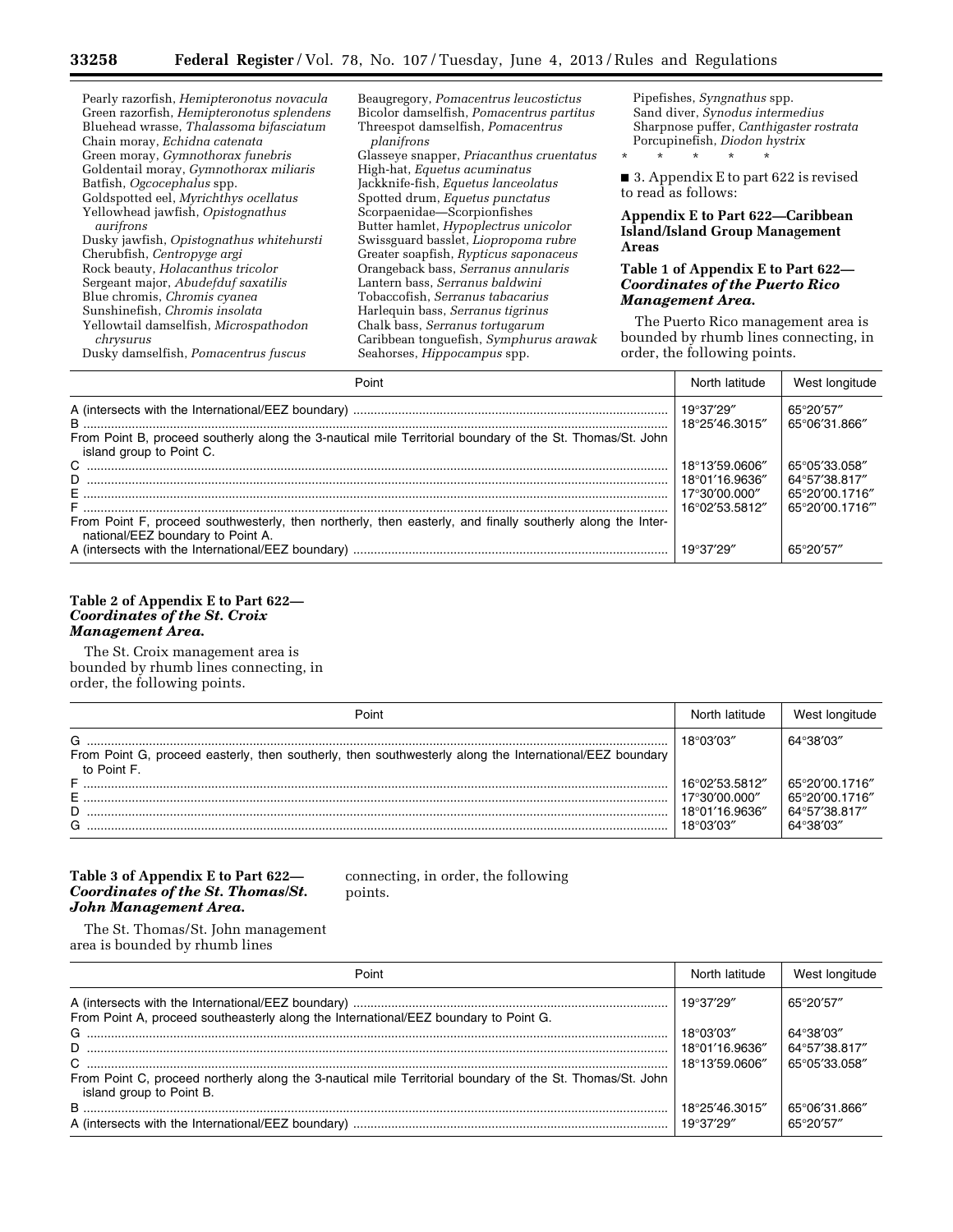| Pearly razorfish, Hemipteronotus novacula | Beaugregory, Pomacentrus leucostictus       | Pipefishes, Syngnathus spp.                                                 |  |
|-------------------------------------------|---------------------------------------------|-----------------------------------------------------------------------------|--|
| Green razorfish, Hemipteronotus splendens | Bicolor damselfish, Pomacentrus partitus    | Sand diver, Synodus intermedius                                             |  |
| Bluehead wrasse, Thalassoma bifasciatum   | Threespot damselfish, Pomacentrus           | Sharpnose puffer, Canthigaster rostrata                                     |  |
| Chain moray, Echidna catenata             | planifrons                                  | Porcupinefish, Diodon hystrix                                               |  |
| Green moray, Gymnothorax funebris         | Glasseye snapper, Priacanthus cruentatus    | $\star$<br>$\star$<br>$\star$<br>$\star$                                    |  |
| Goldentail moray, Gymnothorax miliaris    | High-hat, Equetus acuminatus                |                                                                             |  |
| Batfish, Ogcocephalus spp.                | Jackknife-fish, Equetus lanceolatus         | ■ 3. Appendix E to part 622 is revised<br>to read as follows:               |  |
| Goldspotted eel, Myrichthys ocellatus     | Spotted drum, Equetus punctatus             |                                                                             |  |
| Yellowhead jawfish, Opistognathus         | Scorpaenidae-Scorpionfishes                 | Appendix E to Part 622—Caribbean                                            |  |
| aurifrons                                 | Butter hamlet, <i>Hypoplectrus unicolor</i> | <b>Island/Island Group Management</b>                                       |  |
| Dusky jawfish, Opistognathus whitehursti  | Swissguard basslet, Liopropoma rubre        | Areas                                                                       |  |
| Cherubfish, Centropyge argi               | Greater soapfish, Rypticus saponaceus       |                                                                             |  |
| Rock beauty, Holacanthus tricolor         | Orangeback bass, Serranus annularis         | Table 1 of Appendix E to Part 622—<br><b>Coordinates of the Puerto Rico</b> |  |
| Sergeant major, Abudefduf saxatilis       | Lantern bass, Serranus baldwini             |                                                                             |  |
| Blue chromis, Chromis cyanea              | Tobaccofish, Serranus tabacarius            | <b>Management Area.</b>                                                     |  |
| Sunshinefish, Chromis insolata            | Harlequin bass, Serranus tigrinus           |                                                                             |  |
| Yellowtail damselfish, Microspathodon     | Chalk bass, Serranus tortugarum             | The Puerto Rico management area is                                          |  |
| chrysurus                                 | Caribbean tonguefish, Symphurus arawak      | bounded by rhumb lines connecting, in                                       |  |
| Dusky damselfish, Pomacentrus fuscus      | Seahorses, <i>Hippocampus</i> spp.          | order, the following points.                                                |  |
|                                           | $D$ nint                                    | North Intitude<br>$M$ oot longitude                                         |  |

| Point                                                                                                                                           |                                  | West longitude                   |
|-------------------------------------------------------------------------------------------------------------------------------------------------|----------------------------------|----------------------------------|
|                                                                                                                                                 | 18°25'46.3015"                   | 65°20'57"<br>65°06'31.866"       |
| From Point B, proceed southerly along the 3-nautical mile Territorial boundary of the St. Thomas/St. John<br>island group to Point C.           |                                  |                                  |
| D.                                                                                                                                              | 18°13'59.0606"<br>18°01'16.9636" | 65°05′33.058″<br>64°57'38.817"   |
|                                                                                                                                                 | 17°30'00.000"<br>16°02'53.5812"  | 65°20'00.1716"<br>65°20′00.1716‴ |
| From Point F, proceed southwesterly, then northerly, then easterly, and finally southerly along the Inter-<br>national/EEZ boundary to Point A. |                                  |                                  |
|                                                                                                                                                 |                                  | 65°20'57″                        |

# **Table 2 of Appendix E to Part 622—**  *Coordinates of the St. Croix Management Area.*

The St. Croix management area is bounded by rhumb lines connecting, in order, the following points.

| Point                                                                                                                       | North latitude                                                 | West longitude                                                 |
|-----------------------------------------------------------------------------------------------------------------------------|----------------------------------------------------------------|----------------------------------------------------------------|
| G<br>From Point G, proceed easterly, then southerly, then southwesterly along the International/EEZ boundary<br>to Point F. | 18°03'03"                                                      | 64°38'03"                                                      |
| F<br>G                                                                                                                      | 16°02'53.5812"<br>17°30'00.000"<br>18°01'16.9636"<br>18°03′03″ | 65°20'00.1716"<br>65°20'00.1716"<br>64°57'38.817"<br>64°38'03" |

# **Table 3 of Appendix E to Part 622—**  *Coordinates of the St. Thomas/St. John Management Area.*

connecting, in order, the following points.

The St. Thomas/St. John management area is bounded by rhumb lines

| Point                                                                                                                                 | North latitude                   | West longitude                 |
|---------------------------------------------------------------------------------------------------------------------------------------|----------------------------------|--------------------------------|
|                                                                                                                                       |                                  | 65°20'57"                      |
| From Point A, proceed southeasterly along the International/EEZ boundary to Point G.                                                  | 18°03'03"                        | 64°38'03"                      |
| D                                                                                                                                     | 18°01'16.9636"<br>18°13'59.0606" | 64°57'38.817"<br>65°05'33.058" |
| From Point C, proceed northerly along the 3-nautical mile Territorial boundary of the St. Thomas/St. John<br>island group to Point B. |                                  |                                |
| $\mathsf B$ .                                                                                                                         | 18°25'46.3015"                   | 65°06′31.866″                  |
|                                                                                                                                       |                                  | 65°20'57"                      |

۳